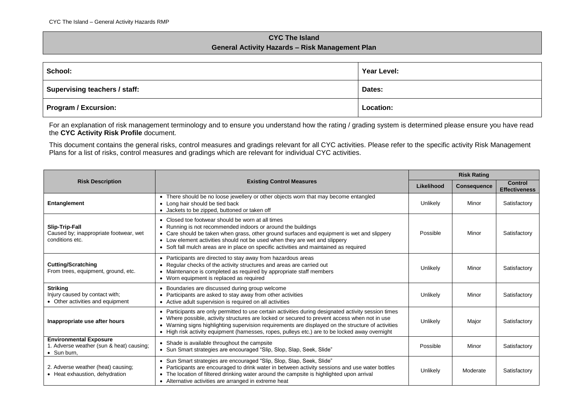## **CYC The Island General Activity Hazards – Risk Management Plan**

| School:                       | Year Level: |  |
|-------------------------------|-------------|--|
| Supervising teachers / staff: | Dates:      |  |
| Program / Excursion:          | Location:   |  |

For an explanation of risk management terminology and to ensure you understand how the rating / grading system is determined please ensure you have read the **CYC Activity Risk Profile** document.

This document contains the general risks, control measures and gradings relevant for all CYC activities. Please refer to the specific activity Risk Management Plans for a list of risks, control measures and gradings which are relevant for individual CYC activities.

|                                                                                          | <b>Existing Control Measures</b>                                                                                                                                                                                                                                                                                                                                                                               |          | <b>Risk Rating</b> |                                        |  |
|------------------------------------------------------------------------------------------|----------------------------------------------------------------------------------------------------------------------------------------------------------------------------------------------------------------------------------------------------------------------------------------------------------------------------------------------------------------------------------------------------------------|----------|--------------------|----------------------------------------|--|
| <b>Risk Description</b>                                                                  |                                                                                                                                                                                                                                                                                                                                                                                                                |          | <b>Consequence</b> | <b>Control</b><br><b>Effectiveness</b> |  |
| Entanglement                                                                             | • There should be no loose jewellery or other objects worn that may become entangled<br>• Long hair should be tied back<br>• Jackets to be zipped, buttoned or taken off                                                                                                                                                                                                                                       | Unlikely | Minor              | Satisfactory                           |  |
| Slip-Trip-Fall<br>Caused by; inappropriate footwear, wet<br>conditions etc.              | • Closed toe footwear should be worn at all times<br>• Running is not recommended indoors or around the buildings<br>• Care should be taken when grass, other ground surfaces and equipment is wet and slippery<br>• Low element activities should not be used when they are wet and slippery<br>• Soft fall mulch areas are in place on specific activities and maintained as required                        | Possible | Minor              | Satisfactory                           |  |
| <b>Cutting/Scratching</b><br>From trees, equipment, ground, etc.                         | • Participants are directed to stay away from hazardous areas<br>• Regular checks of the activity structures and areas are carried out<br>• Maintenance is completed as required by appropriate staff members<br>• Worn equipment is replaced as required                                                                                                                                                      | Unlikely | Minor              | Satisfactory                           |  |
| <b>Striking</b><br>Injury caused by contact with;<br>• Other activities and equipment    | Boundaries are discussed during group welcome<br>• Participants are asked to stay away from other activities<br>• Active adult supervision is required on all activities                                                                                                                                                                                                                                       | Unlikely | Minor              | Satisfactory                           |  |
| Inappropriate use after hours                                                            | • Participants are only permitted to use certain activities during designated activity session times<br>• Where possible, activity structures are locked or secured to prevent access when not in use<br>• Warning signs highlighting supervision requirements are displayed on the structure of activities<br>• High risk activity equipment (harnesses, ropes, pulleys etc.) are to be locked away overnight | Unlikely | Major              | Satisfactory                           |  |
| <b>Environmental Exposure</b><br>1. Adverse weather (sun & heat) causing;<br>• Sun burn, | • Shade is available throughout the campsite<br>• Sun Smart strategies are encouraged "Slip, Slop, Slap, Seek, Slide"                                                                                                                                                                                                                                                                                          | Possible | Minor              | Satisfactory                           |  |
| 2. Adverse weather (heat) causing;<br>• Heat exhaustion, dehydration                     | • Sun Smart strategies are encouraged "Slip, Slop, Slap, Seek, Slide"<br>Participants are encouraged to drink water in between activity sessions and use water bottles<br>• The location of filtered drinking water around the campsite is highlighted upon arrival<br>• Alternative activities are arranged in extreme heat                                                                                   | Unlikely | Moderate           | Satisfactory                           |  |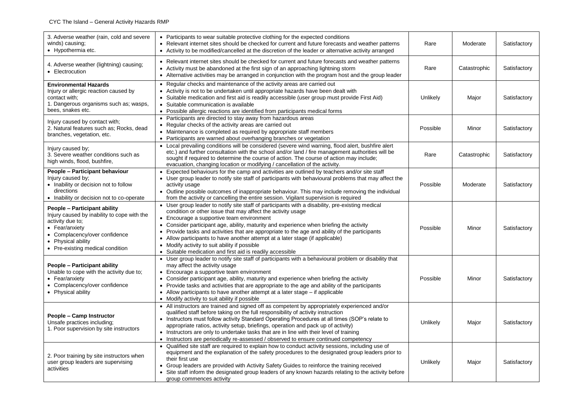| 3. Adverse weather (rain, cold and severe<br>winds) causing;<br>• Hypothermia etc.                                                                                                                           | • Participants to wear suitable protective clothing for the expected conditions<br>• Relevant internet sites should be checked for current and future forecasts and weather patterns<br>• Activity to be modified/cancelled at the discretion of the leader or alternative activity arranged                                                                                                                                                                                                                                                                                                             | Rare     | Moderate     | Satisfactory |
|--------------------------------------------------------------------------------------------------------------------------------------------------------------------------------------------------------------|----------------------------------------------------------------------------------------------------------------------------------------------------------------------------------------------------------------------------------------------------------------------------------------------------------------------------------------------------------------------------------------------------------------------------------------------------------------------------------------------------------------------------------------------------------------------------------------------------------|----------|--------------|--------------|
| 4. Adverse weather (lightning) causing;<br>• Electrocution                                                                                                                                                   | • Relevant internet sites should be checked for current and future forecasts and weather patterns<br>• Activity must be abandoned at the first sign of an approaching lightning storm<br>• Alternative activities may be arranged in conjunction with the program host and the group leader                                                                                                                                                                                                                                                                                                              |          | Catastrophic | Satisfactory |
| <b>Environmental Hazards</b><br>Injury or allergic reaction caused by<br>contact with;<br>1. Dangerous organisms such as; wasps,<br>bees, snakes etc.                                                        | • Regular checks and maintenance of the activity areas are carried out<br>• Activity is not to be undertaken until appropriate hazards have been dealt with<br>Suitable medication and first aid is readily accessible (user group must provide First Aid)<br>• Suitable communication is available<br>• Possible allergic reactions are identified from participants medical forms                                                                                                                                                                                                                      | Unlikely | Major        | Satisfactory |
| Injury caused by contact with;<br>2. Natural features such as; Rocks, dead<br>branches, vegetation, etc.                                                                                                     | • Participants are directed to stay away from hazardous areas<br>• Regular checks of the activity areas are carried out<br>• Maintenance is completed as required by appropriate staff members<br>• Participants are warned about overhanging branches or vegetation                                                                                                                                                                                                                                                                                                                                     | Possible | Minor        | Satisfactory |
| Injury caused by;<br>3. Severe weather conditions such as<br>high winds, flood, bushfire,                                                                                                                    | • Local prevailing conditions will be considered (severe wind warning, flood alert, bushfire alert<br>etc.) and further consultation with the school and/or land / fire management authorities will be<br>sought if required to determine the course of action. The course of action may include;<br>evacuation, changing location or modifying / cancellation of the activity.                                                                                                                                                                                                                          | Rare     | Catastrophic | Satisfactory |
| People - Participant behaviour<br>Injury caused by;<br>• Inability or decision not to follow<br>directions<br>• Inability or decision not to co-operate                                                      | • Expected behaviours for the camp and activities are outlined by teachers and/or site staff<br>• User group leader to notify site staff of participants with behavioural problems that may affect the<br>activity usage<br>• Outline possible outcomes of inappropriate behaviour. This may include removing the individual<br>from the activity or cancelling the entire session. Vigilant supervision is required                                                                                                                                                                                     | Possible | Moderate     | Satisfactory |
| People - Participant ability<br>Injury caused by inability to cope with the<br>activity due to;<br>• Fear/anxiety<br>• Complacency/over confidence<br>• Physical ability<br>• Pre-existing medical condition | • User group leader to notify site staff of participants with a disability, pre-existing medical<br>condition or other issue that may affect the activity usage<br>• Encourage a supportive team environment<br>• Consider participant age, ability, maturity and experience when briefing the activity<br>• Provide tasks and activities that are appropriate to the age and ability of the participants<br>• Allow participants to have another attempt at a later stage (if applicable)<br>• Modify activity to suit ability if possible<br>• Suitable medication and first aid is readily accessible | Possible | Minor        | Satisfactory |
| People - Participant ability<br>Unable to cope with the activity due to;<br>• Fear/anxiety<br>• Complacency/over confidence<br>• Physical ability                                                            | • User group leader to notify site staff of participants with a behavioural problem or disability that<br>may affect the activity usage<br>• Encourage a supportive team environment<br>• Consider participant age, ability, maturity and experience when briefing the activity<br>• Provide tasks and activities that are appropriate to the age and ability of the participants<br>• Allow participants to have another attempt at a later stage - if applicable<br>• Modify activity to suit ability if possible                                                                                      | Possible | Minor        | Satisfactory |
| People - Camp Instructor<br>Unsafe practices including;<br>1. Poor supervision by site instructors                                                                                                           | • All instructors are trained and signed off as competent by appropriately experienced and/or<br>qualified staff before taking on the full responsibility of activity instruction<br>• Instructors must follow activity Standard Operating Procedures at all times (SOP's relate to<br>appropriate ratios, activity setup, briefings, operation and pack up of activity)<br>• Instructors are only to undertake tasks that are in line with their level of training<br>• Instructors are periodically re-assessed / observed to ensure continued competency                                              | Unlikely | Major        | Satisfactory |
| 2. Poor training by site instructors when<br>user group leaders are supervising<br>activities                                                                                                                | • Qualified site staff are required to explain how to conduct activity sessions, including use of<br>equipment and the explanation of the safety procedures to the designated group leaders prior to<br>their first use<br>• Group leaders are provided with Activity Safety Guides to reinforce the training received<br>• Site staff inform the designated group leaders of any known hazards relating to the activity before<br>group commences activity                                                                                                                                              | Unlikely | Major        | Satisfactory |